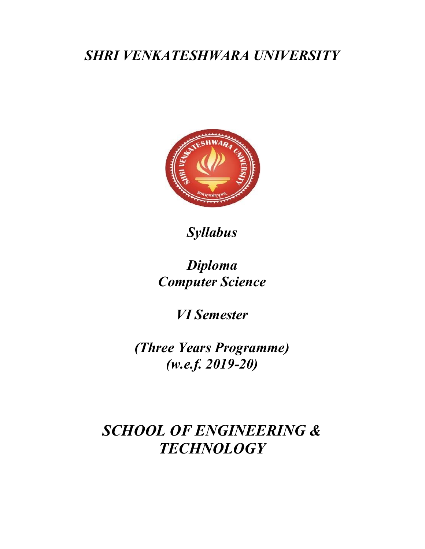## SHRI VENKATESHWARA UNIVERSITY



Syllabus

# Diploma Computer Science

VI Semester

(Three Years Programme) (w.e.f. 2019-20)

# SCHOOL OF ENGINEERING & **TECHNOLOGY**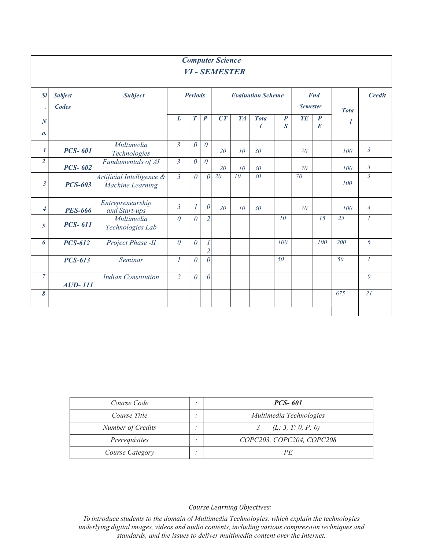|                          |                         |                                               |                |                                            |                                               | <b>Computer Science</b><br><b>VI-SEMESTER</b> |                 |                 |                                      |           |                                      |                 |                  |
|--------------------------|-------------------------|-----------------------------------------------|----------------|--------------------------------------------|-----------------------------------------------|-----------------------------------------------|-----------------|-----------------|--------------------------------------|-----------|--------------------------------------|-----------------|------------------|
| SI<br>$\bullet$          | <b>Subject</b><br>Codes | <b>Subject</b>                                |                | <b>Periods</b><br><b>Evaluation Scheme</b> |                                               | <b>End</b><br><b>Semester</b>                 |                 | <b>Tota</b>     | <b>Credit</b>                        |           |                                      |                 |                  |
| $\boldsymbol{N}$<br>0.   |                         |                                               | L              | $\boldsymbol{T}$                           | $\boldsymbol{P}$                              | CT                                            | <b>TA</b>       | <b>Tota</b>     | $\boldsymbol{P}$<br>$\boldsymbol{S}$ | <b>TE</b> | $\boldsymbol{P}$<br>$\boldsymbol{E}$ |                 |                  |
| $\boldsymbol{l}$         | <b>PCS-601</b>          | Multimedia<br>Technologies                    | $\mathfrak{Z}$ | $\theta$                                   | $\theta$                                      | 20                                            | 10 <sup>°</sup> | 30              |                                      | 70        |                                      | 100             | $\mathfrak{Z}$   |
| $\overline{2}$           | <b>PCS-602</b>          | Fundamentals of AI                            | $\mathfrak{Z}$ | $\theta$                                   | $\theta$                                      | 20                                            | 10              | 30              |                                      | 70        |                                      | 100             | $\mathfrak{Z}$   |
| $\mathfrak{z}$           | <b>PCS-603</b>          | Artificial Intelligence &<br>Machine Learning | $\mathfrak{Z}$ | $\theta$                                   | $\theta$                                      | 20                                            | 10              | $\overline{30}$ |                                      | 70        |                                      | 100             | $\mathbf{3}$     |
| $\overline{\mathcal{A}}$ | <b>PES-666</b>          | Entrepreneurship<br>and Start-ups             | $\mathfrak{Z}$ |                                            | $\theta$                                      | 20                                            | 10 <sup>°</sup> | 30              |                                      | 70        |                                      | 100             | $\overline{4}$   |
| $\mathfrak{s}$           | <b>PCS-611</b>          | Multimedia<br>Technologies Lab                | $\theta$       | $\theta$                                   | $\overline{2}$                                |                                               |                 |                 | 10                                   |           | $\overline{15}$                      | 25              | $\overline{I}$   |
| 6                        | <b>PCS-612</b>          | Project Phase -II                             | $\theta$       | $\theta$                                   | $\mathcal{I}_{\mathcal{I}}$<br>$\overline{2}$ |                                               |                 |                 | 100                                  |           | 100                                  | 200             | 6                |
|                          | <b>PCS-613</b>          | Seminar                                       | $\overline{I}$ | $\theta$                                   | $\theta$                                      |                                               |                 |                 | 50                                   |           |                                      | $\overline{50}$ | $\boldsymbol{l}$ |
| $\overline{7}$           | $AUD-111$               | <b>Indian Constitution</b>                    | $\overline{2}$ | $\theta$                                   | $\theta$                                      |                                               |                 |                 |                                      |           |                                      |                 | $\theta$         |
| 8                        |                         |                                               |                |                                            |                                               |                                               |                 |                 |                                      |           |                                      | 675             | 21               |
|                          |                         |                                               |                |                                            |                                               |                                               |                 |                 |                                      |           |                                      |                 |                  |

| Course Code       |  | <b>PCS-601</b>            |
|-------------------|--|---------------------------|
| Course Title      |  | Multimedia Technologies   |
| Number of Credits |  | (L: 3, T: 0, P: 0)        |
| Prerequisites     |  | COPC203, COPC204, COPC208 |
| Course Category   |  | РE                        |

Course Learning Objectives:

To introduce students to the domain of Multimedia Technologies, which explain the technologies underlying digital images, videos and audio contents, including various compression techniques and standards, and the issues to deliver multimedia content over the Internet.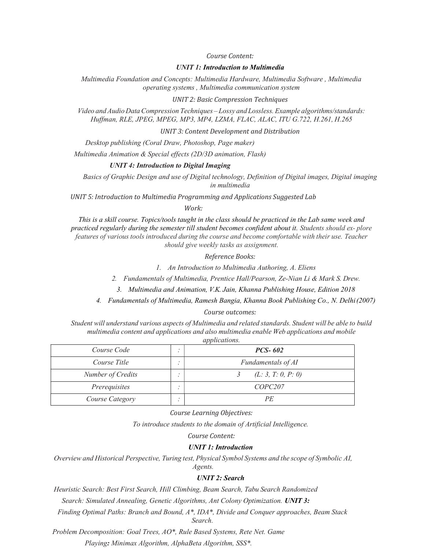Course Content:

## UNIT 1: Introduction to Multimedia

Multimedia Foundation and Concepts: Multimedia Hardware, Multimedia Software , Multimedia operating systems , Multimedia communication system

UNIT 2: Basic Compression Techniques

Video and Audio Data Compression Techniques – Lossy and Lossless. Example algorithms/standards: Huffman, RLE, JPEG, MPEG, MP3, MP4, LZMA, FLAC, ALAC, ITU G.722, H.261, H.265

UNIT 3: Content Development and Distribution

Desktop publishing (Coral Draw, Photoshop, Page maker)

Multimedia Animation & Special effects (2D/3D animation, Flash)

#### UNIT 4: Introduction to Digital Imaging

Basics of Graphic Design and use of Digital technology, Definition of Digital images, Digital imaging in multimedia

UNIT 5: Introduction to Multimedia Programming and Applications Suggested Lab

Work:

This is a skill course. Topics/tools taught in the class should be practiced in the Lab same week and practiced regularly during the semester till student becomes confident about it. Students should ex- plore features of various tools introduced during the course and become comfortable with their use. Teacher should give weekly tasks as assignment.

## Reference Books:

1. An Introduction to Multimedia Authoring, A. Eliens

2. Fundamentals of Multimedia, Prentice Hall/Pearson, Ze-Nian Li & Mark S. Drew.

3. Multimedia and Animation, V.K. Jain, Khanna Publishing House, Edition 2018

4. Fundamentals of Multimedia, Ramesh Bangia, Khanna Book Publishing Co., N. Delhi (2007)

#### Course outcomes:

Student will understand various aspects of Multimedia and related standards. Student will be able to build multimedia content and applications and also multimedia enable Web applications and mobile applications.

| Course Code       |           | <i>PCS-602</i>      |  |  |  |  |
|-------------------|-----------|---------------------|--|--|--|--|
| Course Title      |           | Fundamentals of AI  |  |  |  |  |
| Number of Credits | $\bullet$ | (L: 3, T: 0, P: 0)  |  |  |  |  |
| Prerequisites     |           | COPC <sub>207</sub> |  |  |  |  |
| Course Category   |           | РE                  |  |  |  |  |

Course Learning Objectives:

To introduce students to the domain of Artificial Intelligence.

Course Content:

## UNIT 1: Introduction

Overview and Historical Perspective, Turing test, Physical Symbol Systems and the scope of Symbolic AI,

Agents. UNIT 2: Search

Heuristic Search: Best First Search, Hill Climbing, Beam Search, Tabu Search Randomized

Search: Simulated Annealing, Genetic Algorithms, Ant Colony Optimization. UNIT 3:

Finding Optimal Paths: Branch and Bound, A\*, IDA\*, Divide and Conquer approaches, Beam Stack Search.

Problem Decomposition: Goal Trees, AO\*, Rule Based Systems, Rete Net. Game

Playing: Minimax Algorithm, AlphaBeta Algorithm, SSS\*.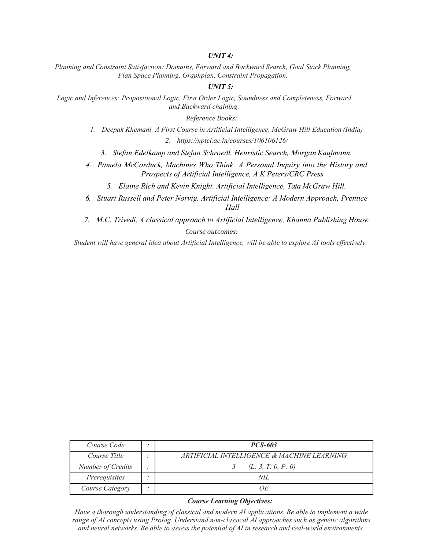## UNIT 4:

Planning and Constraint Satisfaction: Domains, Forward and Backward Search, Goal Stack Planning, Plan Space Planning, Graphplan, Constraint Propagation.

## UNIT<sub>5</sub>:

Logic and Inferences: Propositional Logic, First Order Logic, Soundness and Completeness, Forward and Backward chaining.

Reference Books:

- 1. Deepak Khemani. A First Course in Artificial Intelligence, McGraw Hill Education (India) 2. https://nptel.ac.in/courses/106106126/
	- 3. Stefan Edelkamp and Stefan Schroedl. Heuristic Search, Morgan Kaufmann.
- 4. Pamela McCorduck, Machines Who Think: A Personal Inquiry into the History and Prospects of Artificial Intelligence, A K Peters/CRC Press
	- 5. Elaine Rich and Kevin Knight. Artificial Intelligence, Tata McGraw Hill.
- 6. Stuart Russell and Peter Norvig. Artificial Intelligence: A Modern Approach, Prentice Hall
- 7. M.C. Trivedi, A classical approach to Artificial Intelligence, Khanna Publishing House Course outcomes:

Student will have general idea about Artificial Intelligence, will be able to explore AI tools effectively.

| Course Code       |     | <i>PCS-603</i>                             |
|-------------------|-----|--------------------------------------------|
| Course Title      |     | ARTIFICIAL INTELLIGENCE & MACHINE LEARNING |
| Number of Credits | . . | (L: 3, T: 0, P: 0)                         |
| Prerequisites     |     | NH.                                        |
| Course Category   |     | OЕ                                         |

## Course Learning Objectives:

Have a thorough understanding of classical and modern AI applications. Be able to implement a wide range of AI concepts using Prolog. Understand non-classical AI approaches such as genetic algorithms and neural networks. Be able to assess the potential of AI in research and real-world environments.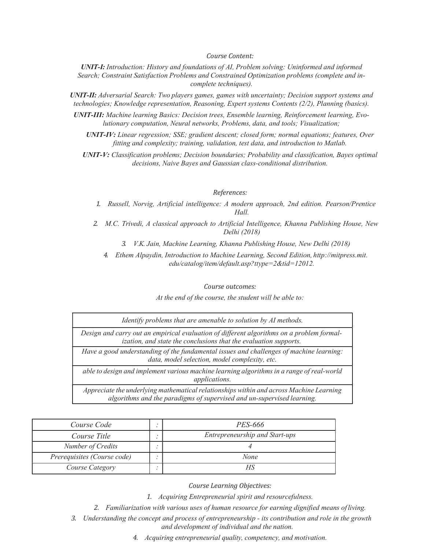#### Course Content:

UNIT-I: Introduction: History and foundations of AI, Problem solving: Uninformed and informed Search; Constraint Satisfaction Problems and Constrained Optimization problems (complete and incomplete techniques).

UNIT-II: Adversarial Search: Two players games, games with uncertainty; Decision support systems and technologies; Knowledge representation, Reasoning, Expert systems Contents (2/2), Planning (basics).

UNIT-III: Machine learning Basics: Decision trees, Ensemble learning, Reinforcement learning, Evolutionary computation, Neural networks, Problems, data, and tools; Visualization;

UNIT-IV: Linear regression; SSE; gradient descent; closed form; normal equations; features, Over fitting and complexity; training, validation, test data, and introduction to Matlab.

UNIT-V: Classification problems; Decision boundaries; Probability and classification, Bayes optimal decisions, Naive Bayes and Gaussian class-conditional distribution.

#### References:

1. Russell, Norvig, Artificial intelligence: A modern approach, 2nd edition. Pearson/Prentice Hall.

2. M.C. Trivedi, A classical approach to Artificial Intelligence, Khanna Publishing House, New Delhi (2018)

3. V.K. Jain, Machine Learning, Khanna Publishing House, New Delhi (2018)

4. Ethem Alpaydin, Introduction to Machine Learning, Second Edition, http://mitpress.mit. edu/catalog/item/default.asp?ttype=2&tid=12012.

Course outcomes:

Identify problems that are amenable to solution by AI methods. Design and carry out an empirical evaluation of different algorithms on a problem formalization, and state the conclusions that the evaluation supports. Have a good understanding of the fundamental issues and challenges of machine learning: data, model selection, model complexity, etc. able to design and implement various machine learning algorithms in a range of real-world applications. Appreciate the underlying mathematical relationships within and across Machine Learning

| $\sim$ . The state of the state of the second control to the second of the state while                                                                            |
|-------------------------------------------------------------------------------------------------------------------------------------------------------------------|
| Design and carry out an empirical evaluation of different algorithms on a problem formal-<br>ization, and state the conclusions that the evaluation supports.     |
| Have a good understanding of the fundamental issues and challenges of machine learning:<br>data, model selection, model complexity, etc.                          |
| able to design and implement various machine learning algorithms in a range of real-world<br>applications.                                                        |
| Appreciate the underlying mathematical relationships within and across Machine Learning<br>algorithms and the paradigms of supervised and un-supervised learning. |

| Course Code                 |  | <i>PES-666</i>                 |
|-----------------------------|--|--------------------------------|
| Course Title                |  | Entrepreneurship and Start-ups |
| Number of Credits           |  |                                |
| Prerequisites (Course code) |  | None                           |
| Course Category             |  |                                |

Course Learning Objectives:

1. Acquiring Entrepreneurial spirit and resourcefulness.

2. Familiarization with various uses of human resource for earning dignified means of living.

3. Understanding the concept and process of entrepreneurship - its contribution and role in the growth and development of individual and the nation.

4. Acquiring entrepreneurial quality, competency, and motivation.

At the end of the course, the student will be able to: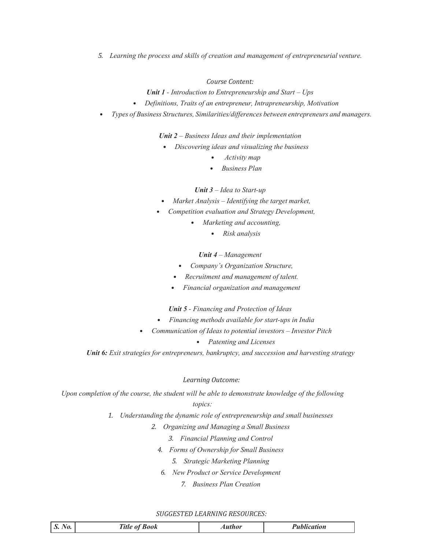5. Learning the process and skills of creation and management of entrepreneurial venture.

## Course Content:

**Unit 1** - Introduction to Entrepreneurship and Start – Ups

- Definitions, Traits of an entrepreneur, Intrapreneurship, Motivation
- Types of Business Structures, Similarities/differences between entrepreneurs and managers.

Unit 2 – Business Ideas and their implementation

- Discovering ideas and visualizing the business
	- Activity map
	- Business Plan

Unit  $3$  – Idea to Start-up

- Market Analysis Identifying the target market,
- Competition evaluation and Strategy Development,
	- Marketing and accounting,
		- Risk analysis

## Unit 4 – Management

- Company's Organization Structure,
- Recruitment and management of talent.
- Financial organization and management

Unit 5 - Financing and Protection of Ideas

- Financing methods available for start-ups in India
- Communication of Ideas to potential investors Investor Pitch
	- Patenting and Licenses

Unit 6: Exit strategies for entrepreneurs, bankruptcy, and succession and harvesting strategy

### Learning Outcome:

Upon completion of the course, the student will be able to demonstrate knowledge of the following topics:

- 1. Understanding the dynamic role of entrepreneurship and small businesses
	- 2. Organizing and Managing a Small Business
		- 3. Financial Planning and Control
		- 4. Forms of Ownership for Small Business
			- 5. Strategic Marketing Planning
		- 6. New Product or Service Development
			- 7. Business Plan Creation

#### SUGGESTED LEARNING RESOURCES:

| $N_{0.}$<br>$S$ .<br><i><b>Aublication</b></i><br><b>Book</b><br><b>Author</b> |  |
|--------------------------------------------------------------------------------|--|
|--------------------------------------------------------------------------------|--|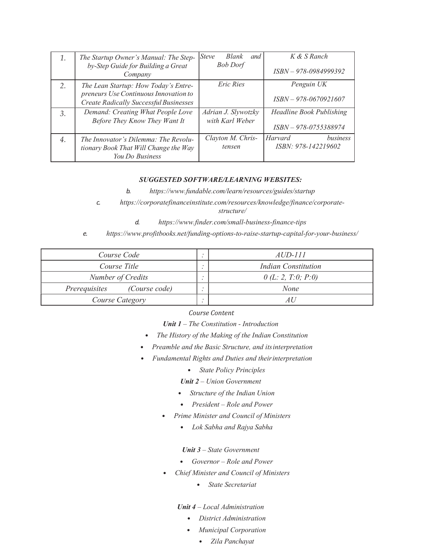| 1. | The Startup Owner's Manual: The Step-<br>by-Step Guide for Building a Great<br>Company                                         | <i>Steve</i><br>Blank<br>and<br><b>Bob Dorf</b> | K & S Ranch<br>$ISBN - 978 - 0984999392$                 |
|----|--------------------------------------------------------------------------------------------------------------------------------|-------------------------------------------------|----------------------------------------------------------|
| 2. | The Lean Startup: How Today's Entre-<br>preneurs Use Continuous Innovation to<br><b>Create Radically Successful Businesses</b> | Eric Ries                                       | Penguin UK<br>$ISBN - 978 - 0670921607$                  |
| 3. | Demand: Creating What People Love<br>Before They Know They Want It                                                             | Adrian J. Slywotzky<br>with Karl Weber          | <b>Headline Book Publishing</b><br>ISBN - 978-0755388974 |
| 4. | The Innovator's Dilemma: The Revolu-<br>tionary Book That Will Change the Way<br>You Do Business                               | Clayton M. Chris-<br>tensen                     | Harvard<br>business<br>ISBN: 978-142219602               |

## SUGGESTED SOFTWARE/LEARNING WEBSITES:

b. https://www.fundable.com/learn/resources/guides/startup

c. https://corporatefinanceinstitute.com/resources/knowledge/finance/corporatestructure/

d. https://www.finder.com/small-business-finance-tips

e. https://www.profitbooks.net/funding-options-to-raise-startup-capital-for-your-business/

| Course Code                    |   | <i>AUD-111</i>      |
|--------------------------------|---|---------------------|
| Course Title                   |   | Indian Constitution |
| Number of Credits              |   | 0(L: 2, T: 0; P: 0) |
| (Course code)<br>Prerequisites |   | None                |
| Course Category                | ٠ | AU.                 |

## Course Content

Unit 1 – The Constitution - Introduction

- The History of the Making of the Indian Constitution
- Preamble and the Basic Structure, and its interpretation
- Fundamental Rights and Duties and their interpretation
	- State Policy Principles

Unit 2 – Union Government

- Structure of the Indian Union
- President Role and Power
- Prime Minister and Council of Ministers
	- Lok Sabha and Rajya Sabha

## Unit 3 – State Government

- Governor Role and Power
- Chief Minister and Council of Ministers
	- State Secretariat

## Unit 4 – Local Administration

- District Administration
- **Municipal Corporation** 
	- Zila Panchayat